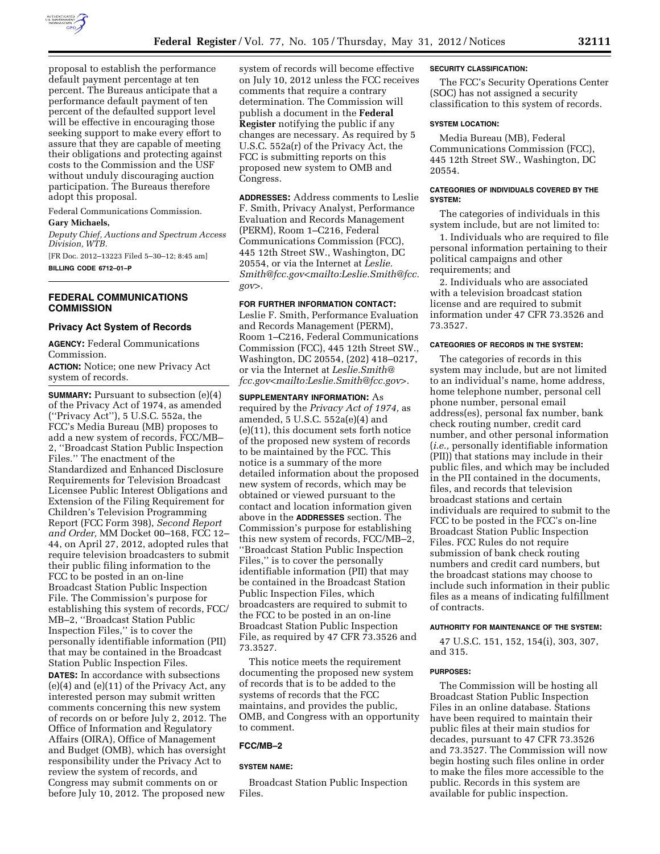

proposal to establish the performance default payment percentage at ten percent. The Bureaus anticipate that a performance default payment of ten percent of the defaulted support level will be effective in encouraging those seeking support to make every effort to assure that they are capable of meeting their obligations and protecting against costs to the Commission and the USF without unduly discouraging auction participation. The Bureaus therefore adopt this proposal.

Federal Communications Commission. **Gary Michaels,** 

*Deputy Chief, Auctions and Spectrum Access Division, WTB.* 

[FR Doc. 2012–13223 Filed 5–30–12; 8:45 am] **BILLING CODE 6712–01–P** 

# **FEDERAL COMMUNICATIONS COMMISSION**

## **Privacy Act System of Records**

**AGENCY:** Federal Communications Commission.

**ACTION:** Notice; one new Privacy Act system of records.

**SUMMARY:** Pursuant to subsection (e)(4) of the Privacy Act of 1974, as amended (''Privacy Act''), 5 U.S.C. 552a, the FCC's Media Bureau (MB) proposes to add a new system of records, FCC/MB– 2, ''Broadcast Station Public Inspection Files.'' The enactment of the Standardized and Enhanced Disclosure Requirements for Television Broadcast Licensee Public Interest Obligations and Extension of the Filing Requirement for Children's Television Programming Report (FCC Form 398), *Second Report and Order,* MM Docket 00–168, FCC 12– 44, on April 27, 2012, adopted rules that require television broadcasters to submit their public filing information to the FCC to be posted in an on-line Broadcast Station Public Inspection File. The Commission's purpose for establishing this system of records, FCC/ MB–2, ''Broadcast Station Public Inspection Files,'' is to cover the personally identifiable information (PII) that may be contained in the Broadcast Station Public Inspection Files. **DATES:** In accordance with subsections (e)(4) and (e)(11) of the Privacy Act, any

interested person may submit written comments concerning this new system of records on or before July 2, 2012. The Office of Information and Regulatory Affairs (OIRA), Office of Management and Budget (OMB), which has oversight responsibility under the Privacy Act to review the system of records, and Congress may submit comments on or before July 10, 2012. The proposed new

system of records will become effective on July 10, 2012 unless the FCC receives comments that require a contrary determination. The Commission will publish a document in the **Federal Register** notifying the public if any changes are necessary. As required by 5 U.S.C. 552a(r) of the Privacy Act, the FCC is submitting reports on this proposed new system to OMB and Congress.

**ADDRESSES:** Address comments to Leslie F. Smith, Privacy Analyst, Performance Evaluation and Records Management (PERM), Room 1–C216, Federal Communications Commission (FCC), 445 12th Street SW., Washington, DC 20554, or via the Internet at *[Leslie.](mailto:Leslie.Smith@fcc.gov) [Smith@fcc.gov<](mailto:Leslie.Smith@fcc.gov)mailto:[Leslie.Smith@fcc.](mailto:Leslie.Smith@fcc.gov) [gov>](mailto:Leslie.Smith@fcc.gov).* 

### **FOR FURTHER INFORMATION CONTACT:**

Leslie F. Smith, Performance Evaluation and Records Management (PERM), Room 1–C216, Federal Communications Commission (FCC), 445 12th Street SW., Washington, DC 20554, (202) 418–0217, or via the Internet at *[Leslie.Smith@](mailto:Leslie.Smith@fcc.gov) [fcc.gov](mailto:Leslie.Smith@fcc.gov)<mailto:[Leslie.Smith@fcc.gov>](mailto:Leslie.Smith@fcc.gov).* 

**SUPPLEMENTARY INFORMATION:** As required by the *Privacy Act of 1974,* as amended, 5 U.S.C. 552a(e)(4) and (e)(11), this document sets forth notice of the proposed new system of records to be maintained by the FCC. This notice is a summary of the more detailed information about the proposed new system of records, which may be obtained or viewed pursuant to the contact and location information given above in the **ADDRESSES** section. The Commission's purpose for establishing this new system of records, FCC/MB–2, ''Broadcast Station Public Inspection Files,'' is to cover the personally identifiable information (PII) that may be contained in the Broadcast Station Public Inspection Files, which broadcasters are required to submit to the FCC to be posted in an on-line Broadcast Station Public Inspection File, as required by 47 CFR 73.3526 and 73.3527.

This notice meets the requirement documenting the proposed new system of records that is to be added to the systems of records that the FCC maintains, and provides the public, OMB, and Congress with an opportunity to comment.

## **FCC/MB–2**

#### **SYSTEM NAME:**

Broadcast Station Public Inspection Files.

#### **SECURITY CLASSIFICATION:**

The FCC's Security Operations Center (SOC) has not assigned a security classification to this system of records.

#### **SYSTEM LOCATION:**

Media Bureau (MB), Federal Communications Commission (FCC), 445 12th Street SW., Washington, DC 20554.

# **CATEGORIES OF INDIVIDUALS COVERED BY THE SYSTEM:**

The categories of individuals in this system include, but are not limited to:

1. Individuals who are required to file personal information pertaining to their political campaigns and other requirements; and

2. Individuals who are associated with a television broadcast station license and are required to submit information under 47 CFR 73.3526 and 73.3527.

## **CATEGORIES OF RECORDS IN THE SYSTEM:**

The categories of records in this system may include, but are not limited to an individual's name, home address, home telephone number, personal cell phone number, personal email address(es), personal fax number, bank check routing number, credit card number, and other personal information (*i.e.,* personally identifiable information (PII)) that stations may include in their public files, and which may be included in the PII contained in the documents, files, and records that television broadcast stations and certain individuals are required to submit to the FCC to be posted in the FCC's on-line Broadcast Station Public Inspection Files. FCC Rules do not require submission of bank check routing numbers and credit card numbers, but the broadcast stations may choose to include such information in their public files as a means of indicating fulfillment of contracts.

### **AUTHORITY FOR MAINTENANCE OF THE SYSTEM:**

47 U.S.C. 151, 152, 154(i), 303, 307, and 315.

#### **PURPOSES:**

The Commission will be hosting all Broadcast Station Public Inspection Files in an online database. Stations have been required to maintain their public files at their main studios for decades, pursuant to 47 CFR 73.3526 and 73.3527. The Commission will now begin hosting such files online in order to make the files more accessible to the public. Records in this system are available for public inspection.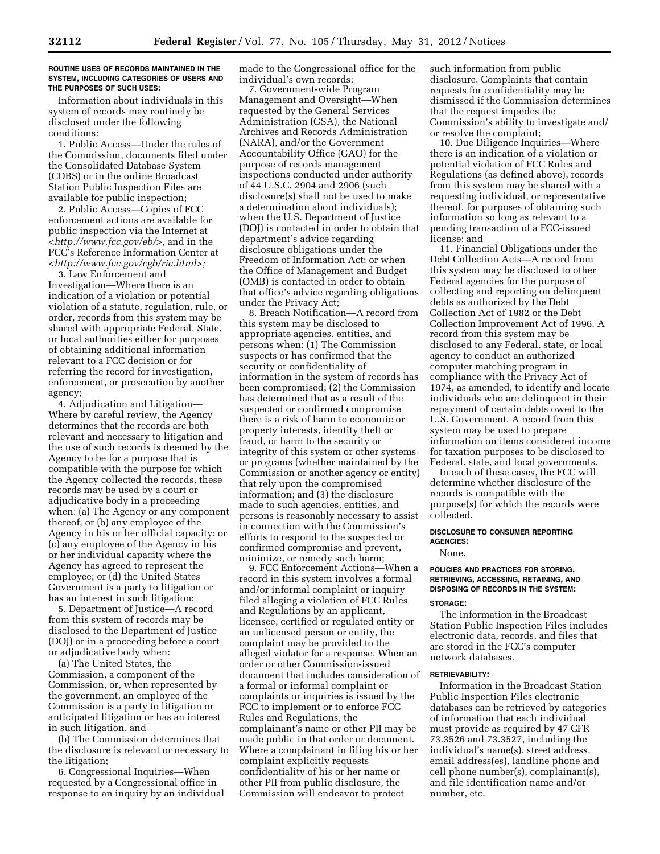#### **ROUTINE USES OF RECORDS MAINTAINED IN THE SYSTEM, INCLUDING CATEGORIES OF USERS AND THE PURPOSES OF SUCH USES:**

Information about individuals in this system of records may routinely be disclosed under the following conditions:

1. Public Access—Under the rules of the Commission, documents filed under the Consolidated Database System (CDBS) or in the online Broadcast Station Public Inspection Files are available for public inspection;

2. Public Access—Copies of FCC enforcement actions are available for public inspection via the Internet at *[<http://www.fcc.gov/eb/>,](http://www.fcc.gov/eb/)* and in the FCC's Reference Information Center at *[<http://www.fcc.gov/cgb/ric.html>;](http://www.fcc.gov/cgb/ric.html)* 

3. Law Enforcement and Investigation—Where there is an indication of a violation or potential violation of a statute, regulation, rule, or order, records from this system may be shared with appropriate Federal, State, or local authorities either for purposes of obtaining additional information relevant to a FCC decision or for referring the record for investigation, enforcement, or prosecution by another agency;

4. Adjudication and Litigation— Where by careful review, the Agency determines that the records are both relevant and necessary to litigation and the use of such records is deemed by the Agency to be for a purpose that is compatible with the purpose for which the Agency collected the records, these records may be used by a court or adjudicative body in a proceeding when: (a) The Agency or any component thereof; or (b) any employee of the Agency in his or her official capacity; or (c) any employee of the Agency in his or her individual capacity where the Agency has agreed to represent the employee; or (d) the United States Government is a party to litigation or has an interest in such litigation;

5. Department of Justice—A record from this system of records may be disclosed to the Department of Justice (DOJ) or in a proceeding before a court or adjudicative body when:

(a) The United States, the Commission, a component of the Commission, or, when represented by the government, an employee of the Commission is a party to litigation or anticipated litigation or has an interest in such litigation, and

(b) The Commission determines that the disclosure is relevant or necessary to the litigation;

6. Congressional Inquiries—When requested by a Congressional office in response to an inquiry by an individual made to the Congressional office for the individual's own records;

7. Government-wide Program Management and Oversight—When requested by the General Services Administration (GSA), the National Archives and Records Administration (NARA), and/or the Government Accountability Office (GAO) for the purpose of records management inspections conducted under authority of 44 U.S.C. 2904 and 2906 (such disclosure(s) shall not be used to make a determination about individuals); when the U.S. Department of Justice (DOJ) is contacted in order to obtain that department's advice regarding disclosure obligations under the Freedom of Information Act; or when the Office of Management and Budget (OMB) is contacted in order to obtain that office's advice regarding obligations under the Privacy Act;

8. Breach Notification—A record from this system may be disclosed to appropriate agencies, entities, and persons when: (1) The Commission suspects or has confirmed that the security or confidentiality of information in the system of records has been compromised; (2) the Commission has determined that as a result of the suspected or confirmed compromise there is a risk of harm to economic or property interests, identity theft or fraud, or harm to the security or integrity of this system or other systems or programs (whether maintained by the Commission or another agency or entity) that rely upon the compromised information; and (3) the disclosure made to such agencies, entities, and persons is reasonably necessary to assist in connection with the Commission's efforts to respond to the suspected or confirmed compromise and prevent, minimize, or remedy such harm;

9. FCC Enforcement Actions—When a record in this system involves a formal and/or informal complaint or inquiry filed alleging a violation of FCC Rules and Regulations by an applicant, licensee, certified or regulated entity or an unlicensed person or entity, the complaint may be provided to the alleged violator for a response. When an order or other Commission-issued document that includes consideration of a formal or informal complaint or complaints or inquiries is issued by the FCC to implement or to enforce FCC Rules and Regulations, the complainant's name or other PII may be made public in that order or document. Where a complainant in filing his or her complaint explicitly requests confidentiality of his or her name or other PII from public disclosure, the Commission will endeavor to protect

such information from public disclosure. Complaints that contain requests for confidentiality may be dismissed if the Commission determines that the request impedes the Commission's ability to investigate and/ or resolve the complaint;

10. Due Diligence Inquiries—Where there is an indication of a violation or potential violation of FCC Rules and Regulations (as defined above), records from this system may be shared with a requesting individual, or representative thereof, for purposes of obtaining such information so long as relevant to a pending transaction of a FCC-issued license; and

11. Financial Obligations under the Debt Collection Acts—A record from this system may be disclosed to other Federal agencies for the purpose of collecting and reporting on delinquent debts as authorized by the Debt Collection Act of 1982 or the Debt Collection Improvement Act of 1996. A record from this system may be disclosed to any Federal, state, or local agency to conduct an authorized computer matching program in compliance with the Privacy Act of 1974, as amended, to identify and locate individuals who are delinquent in their repayment of certain debts owed to the U.S. Government. A record from this system may be used to prepare information on items considered income for taxation purposes to be disclosed to Federal, state, and local governments.

In each of these cases, the FCC will determine whether disclosure of the records is compatible with the purpose(s) for which the records were collected.

#### **DISCLOSURE TO CONSUMER REPORTING AGENCIES:**

None.

# **POLICIES AND PRACTICES FOR STORING, RETRIEVING, ACCESSING, RETAINING, AND DISPOSING OF RECORDS IN THE SYSTEM:**

#### **STORAGE:**

The information in the Broadcast Station Public Inspection Files includes electronic data, records, and files that are stored in the FCC's computer network databases.

#### **RETRIEVABILITY:**

Information in the Broadcast Station Public Inspection Files electronic databases can be retrieved by categories of information that each individual must provide as required by 47 CFR 73.3526 and 73.3527, including the individual's name(s), street address, email address(es), landline phone and cell phone number(s), complainant(s), and file identification name and/or number, etc.